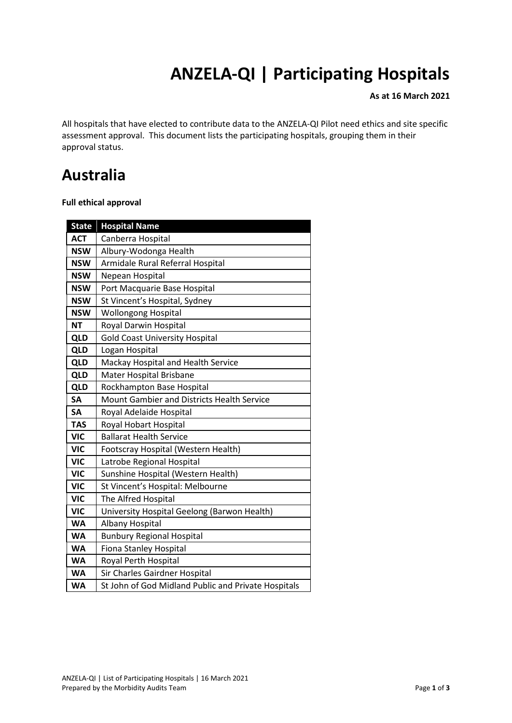# **ANZELA-QI | Participating Hospitals**

#### **As at 16 March 2021**

All hospitals that have elected to contribute data to the ANZELA-QI Pilot need ethics and site specific assessment approval. This document lists the participating hospitals, grouping them in their approval status.

### **Australia**

**Full ethical approval** 

| <b>State</b> | <b>Hospital Name</b>                                |  |
|--------------|-----------------------------------------------------|--|
| <b>ACT</b>   | Canberra Hospital                                   |  |
| <b>NSW</b>   | Albury-Wodonga Health                               |  |
| <b>NSW</b>   | Armidale Rural Referral Hospital                    |  |
| <b>NSW</b>   | Nepean Hospital                                     |  |
| <b>NSW</b>   | Port Macquarie Base Hospital                        |  |
| <b>NSW</b>   | St Vincent's Hospital, Sydney                       |  |
| <b>NSW</b>   | <b>Wollongong Hospital</b>                          |  |
| <b>NT</b>    | Royal Darwin Hospital                               |  |
| <b>QLD</b>   | <b>Gold Coast University Hospital</b>               |  |
| <b>QLD</b>   | Logan Hospital                                      |  |
| QLD          | Mackay Hospital and Health Service                  |  |
| <b>QLD</b>   | Mater Hospital Brisbane                             |  |
| QLD          | Rockhampton Base Hospital                           |  |
| <b>SA</b>    | Mount Gambier and Districts Health Service          |  |
| <b>SA</b>    | Royal Adelaide Hospital                             |  |
| <b>TAS</b>   | Royal Hobart Hospital                               |  |
| <b>VIC</b>   | <b>Ballarat Health Service</b>                      |  |
| <b>VIC</b>   | Footscray Hospital (Western Health)                 |  |
| <b>VIC</b>   | Latrobe Regional Hospital                           |  |
| <b>VIC</b>   | Sunshine Hospital (Western Health)                  |  |
| <b>VIC</b>   | St Vincent's Hospital: Melbourne                    |  |
| <b>VIC</b>   | The Alfred Hospital                                 |  |
| <b>VIC</b>   | University Hospital Geelong (Barwon Health)         |  |
| <b>WA</b>    | Albany Hospital                                     |  |
| <b>WA</b>    | <b>Bunbury Regional Hospital</b>                    |  |
| <b>WA</b>    | Fiona Stanley Hospital                              |  |
| <b>WA</b>    | Royal Perth Hospital                                |  |
| <b>WA</b>    | Sir Charles Gairdner Hospital                       |  |
| <b>WA</b>    | St John of God Midland Public and Private Hospitals |  |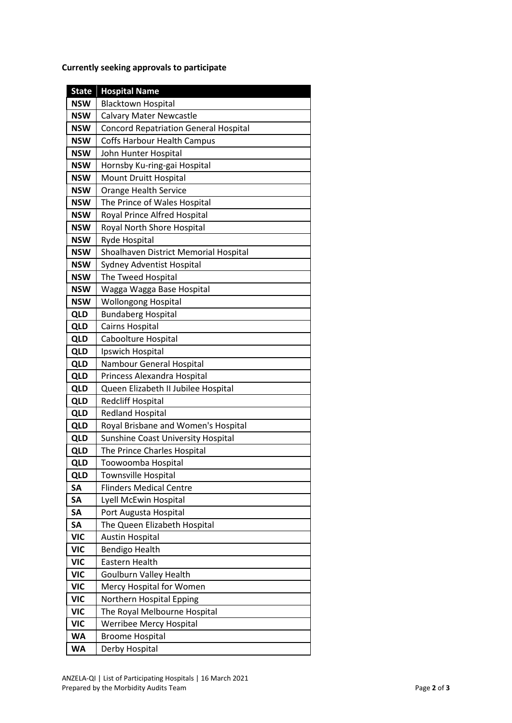**Currently seeking approvals to participate**

| <b>State</b> | <b>Hospital Name</b>                         |
|--------------|----------------------------------------------|
| <b>NSW</b>   | <b>Blacktown Hospital</b>                    |
| <b>NSW</b>   | <b>Calvary Mater Newcastle</b>               |
| <b>NSW</b>   | <b>Concord Repatriation General Hospital</b> |
| <b>NSW</b>   | Coffs Harbour Health Campus                  |
| <b>NSW</b>   | John Hunter Hospital                         |
| <b>NSW</b>   | Hornsby Ku-ring-gai Hospital                 |
| <b>NSW</b>   | Mount Druitt Hospital                        |
| <b>NSW</b>   | <b>Orange Health Service</b>                 |
| <b>NSW</b>   | The Prince of Wales Hospital                 |
| <b>NSW</b>   | Royal Prince Alfred Hospital                 |
| <b>NSW</b>   | Royal North Shore Hospital                   |
| <b>NSW</b>   | Ryde Hospital                                |
| <b>NSW</b>   | Shoalhaven District Memorial Hospital        |
| <b>NSW</b>   | <b>Sydney Adventist Hospital</b>             |
| <b>NSW</b>   | The Tweed Hospital                           |
| <b>NSW</b>   | Wagga Wagga Base Hospital                    |
| <b>NSW</b>   | <b>Wollongong Hospital</b>                   |
| QLD          | <b>Bundaberg Hospital</b>                    |
| <b>QLD</b>   | Cairns Hospital                              |
| <b>QLD</b>   | Caboolture Hospital                          |
| QLD          | Ipswich Hospital                             |
| <b>QLD</b>   | Nambour General Hospital                     |
| <b>QLD</b>   | Princess Alexandra Hospital                  |
| <b>QLD</b>   | Queen Elizabeth II Jubilee Hospital          |
| QLD          | <b>Redcliff Hospital</b>                     |
| QLD          | <b>Redland Hospital</b>                      |
| QLD          | Royal Brisbane and Women's Hospital          |
| <b>QLD</b>   | Sunshine Coast University Hospital           |
| <b>QLD</b>   | The Prince Charles Hospital                  |
| QLD          | Toowoomba Hospital                           |
| <b>QLD</b>   | <b>Townsville Hospital</b>                   |
| <b>SA</b>    | <b>Flinders Medical Centre</b>               |
| <b>SA</b>    | Lyell McEwin Hospital                        |
| <b>SA</b>    | Port Augusta Hospital                        |
| <b>SA</b>    | The Queen Elizabeth Hospital                 |
| <b>VIC</b>   | <b>Austin Hospital</b>                       |
| <b>VIC</b>   | <b>Bendigo Health</b>                        |
| <b>VIC</b>   | Eastern Health                               |
| <b>VIC</b>   | <b>Goulburn Valley Health</b>                |
| <b>VIC</b>   | Mercy Hospital for Women                     |
| <b>VIC</b>   | Northern Hospital Epping                     |
| <b>VIC</b>   | The Royal Melbourne Hospital                 |
| <b>VIC</b>   | Werribee Mercy Hospital                      |
| <b>WA</b>    | <b>Broome Hospital</b>                       |
| <b>WA</b>    | Derby Hospital                               |